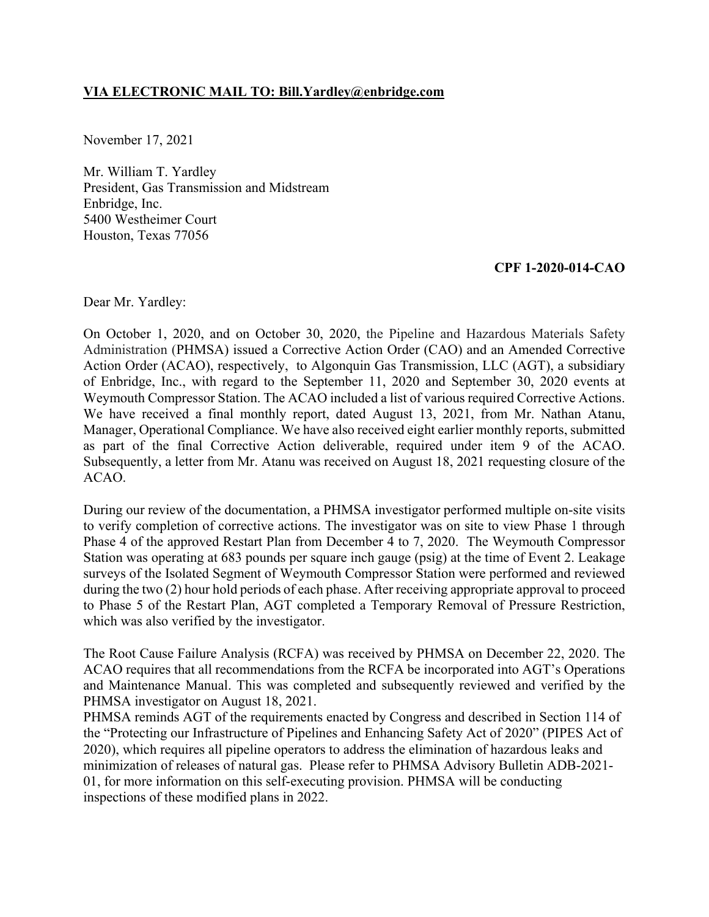## **VIA ELECTRONIC MAIL TO: [Bill.Yardley@enbridge.com](mailto:Bill.Yardley@enbridge.com)**

November 17, 2021

 President, Gas Transmission and Midstream Enbridge, Inc. Mr. William T. Yardley 5400 Westheimer Court Houston, Texas 77056

## **CPF 1-2020-014-CAO**

Dear Mr. Yardley:

On October 1, 2020, and on October 30, 2020, the Pipeline and Hazardous Materials Safety Administration (PHMSA) issued a Corrective Action Order (CAO) and an Amended Corrective Action Order (ACAO), respectively, to Algonquin Gas Transmission, LLC (AGT), a subsidiary of Enbridge, Inc., with regard to the September 11, 2020 and September 30, 2020 events at Weymouth Compressor Station. The ACAO included a list of various required Corrective Actions. We have received a final monthly report, dated August 13, 2021, from Mr. Nathan Atanu, Manager, Operational Compliance. We have also received eight earlier monthly reports, submitted as part of the final Corrective Action deliverable, required under item 9 of the ACAO. Subsequently, a letter from Mr. Atanu was received on August 18, 2021 requesting closure of the ACAO.

During our review of the documentation, a PHMSA investigator performed multiple on-site visits to verify completion of corrective actions. The investigator was on site to view Phase 1 through Phase 4 of the approved Restart Plan from December 4 to 7, 2020. The Weymouth Compressor Station was operating at 683 pounds per square inch gauge (psig) at the time of Event 2. Leakage surveys of the Isolated Segment of Weymouth Compressor Station were performed and reviewed during the two (2) hour hold periods of each phase. After receiving appropriate approval to proceed to Phase 5 of the Restart Plan, AGT completed a Temporary Removal of Pressure Restriction, which was also verified by the investigator.

The Root Cause Failure Analysis (RCFA) was received by PHMSA on December 22, 2020. The ACAO requires that all recommendations from the RCFA be incorporated into AGT's Operations and Maintenance Manual. This was completed and subsequently reviewed and verified by the PHMSA investigator on August 18, 2021.

PHMSA reminds AGT of the requirements enacted by Congress and described in Section 114 of the "Protecting our Infrastructure of Pipelines and Enhancing Safety Act of 2020" (PIPES Act of 2020), which requires all pipeline operators to address the elimination of hazardous leaks and minimization of releases of natural gas. Please refer to PHMSA Advisory Bulletin ADB-2021- 01, for more information on this self-executing provision. PHMSA will be conducting inspections of these modified plans in 2022.